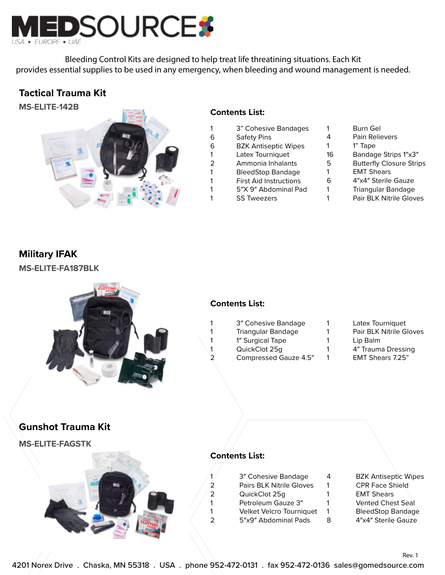

Bleeding Control Kits are designed to help treat life threatining situations. Each Kit provides essential supplies to be used in any emergency, when bleeding and wound management is needed.

## **Tactical Trauma Kit**



### **Contents List:**

- 1 3" Cohesive Bandages
- 6 Safety Pins
- 6 BZK Antiseptic Wipes
- 1 Latex Tourniquet
- 2 Ammonia Inhalants
- 1 BleedStop Bandage
- 1 First Aid Instructions
- 1 5″X 9″ Abdominal Pad
- 1 SS Tweezers
- 1 Burn Gel
- 4 Pain Relievers
- 1 1" Tape
- 16 Bandage Strips 1″x3″
- 5 Butterfly Closure Strips
- 1 EMT Shears
- 6 4″x4″ Sterile Gauze
- 1 Triangular Bandage
- 1 Pair BLK Nitrile Gloves

# **Military IFAK**

**MS-ELITE-FA187BLK**



## **Contents List:**

- 1 3″ Cohesive Bandage
- 1 Triangular Bandage
- 1 1<sup>"</sup> Surgical Tape
- 1 QuickClot 25g
- 2 Compressed Gauze 4.5″
- 1 Latex Tourniquet
- 1 Pair BLK Nitrile Gloves 1 Lip Balm
- 1 4″ Trauma Dressing
- 1 EMT Shears 7.25"

# **Gunshot Trauma Kit**

**MS-ELITE-FAGSTK**



## **Contents List:**

| 1 | 3" Cohesive Bandage             |
|---|---------------------------------|
| 2 | <b>Pairs BLK Nitrile Gloves</b> |
| 2 | QuickClot 25g                   |
| 1 | Petroleum Gauze 3"              |
| 1 | Velket Velcro Tourniquet        |
| 2 | 5"x9" Abdominal Pads            |

- 4 BZK Antiseptic Wipes 1 CPR Face Shield
- 1 EMT Shears
- 1 Vented Chest Seal
- 1 BleedStop Bandage
- 8 4″x4″ Sterile Gauze